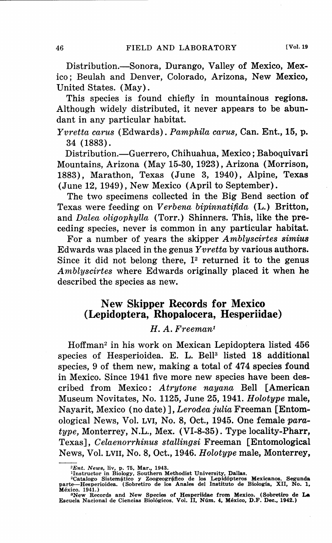Distribution.—Sonora, Durango, Valley of Mexico, Mexico; Beulah and Denver, Colorado, Arizona, New Mexico, United States. (May).

This species is found chiefly in mountainous **regions.**  Although widely distributed, it never appears to be **abun**dant in any particular habitat.

*Yvretta carus* (Edwards). *Pamphila carus,* Can. Ent., **15, p.**  34 (1883).

Distribution.—Guerrero, Chihuahua, Mexico; Baboquivari Mountains, Arizona (May 15-30, 1923), Arizona (Morrison, 1883), Marathon, Texas (June 3, 1940), Alpine, Texas (June 12, 1949), New Mexico (April to September).

The two specimens collected in the Big Bend section of Texas were feeding on *Verbena bipinnatifida* (L.) Britton, and *Dalea oligophylla* (Torr.) Shinners. This, like the **pre**ceding species, never is common in any particular habitat.

For a number of years the skipper *Amblyscirtes simius*  Edwards was placed in the genus *Yvretta* by various authors. Since it did not belong there,  $I<sup>2</sup>$  returned it to the genus *Amblyscirtes* where Edwards originally placed it when he described the species as new.

# **New Skipper Records for Mexico (Lepidoptera, Rhopalocera, Hesperiidae)**

#### *H. A. Freeman <sup>1</sup>*

 $H$ offman<sup>2</sup> in his work on Mexican Lepidoptera listed  $456$ species of Hesperioidea. E. L. Bell<sup>3</sup> listed 18 additional species, 9 of them new, making a total of 474 species found in Mexico. Since 1941 five more new species have been described from Mexico: *Atrytone nayana* Bell [American Museum Novitates, No. 1125, June 25, 1941. *Holotype* male, Nayarit, Mexico (no date)], *Lerodea julia* Freeman [Entomological News, Vol. LVI, No. 8, Oct., 1945. One female *paratype,* Monterrey, N.L., Mex. (Vl-8-35). Type locality-Pharr, Texas], *Celaenorrhinus stallingsi* Freeman [Entomological News, Vol. LVII, No. 8, Oct., 1946. *Holotype* male, Monterrey,

 ${}^{2}Ent.$  News, liv, p. 75, Mar., 1943.<br><sup>1</sup>Hnstructor in Biology, Southern Methodist University, Dallas.<br><sup>2</sup>Catalogo Sistemático y Zoogeográfico de los Lepidópteros Mexicanos. Segunda<br>parte—Hesperioidea. (Sobretiro de los Mexico. 1941.)

<sup>3</sup>New Records and New Species of Hesperiidae from Mexico. (Sobretiro de **La**  Escuela Nacional de Ciencias Biologicos. Vol. II, Num. 4, Mexico, D.F. Dec., 1942.)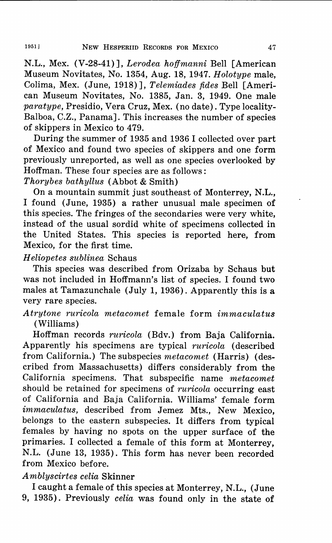N.L., Mex. (V-28-41)], *Lerodea hoffmanni* Bell [American Museum Novitates, No. 1354, Aug. 18, 1947. *Holotype* male, Colima, Mex. (June, 1918)], *Telemiades fides* Bell [American Museum Novitates, No. 1385, Jan. 3, 1949. One male *paratype,* Presidio, Vera Cruz, Mex. (no date). Type locality-Balboa, C.Z., Panama]. This increases the number of species of skippers in Mexico to 479.

During the summer of 1935 and 1936 I collected over part of Mexico and found two species of skippers and one form previously unreported, as well as one species overlooked by Hoffman. These four species are as follows:

*Thorybes bathyllus* (Abbot & Smith)

On a mountain summit just southeast of Monterrey, **N.L.,**  I found (June, 1935) a rather unusual male specimen of this species. The fringes of the secondaries were very white, instead of the usual sordid white of specimens collected in the United States. This species is reported here, from Mexico, for the first time.

### *H eliopetes sublinea* Schaus

This species was described from Orizaba by Schaus but was not included in Hoffmann's list of species. I found two males at Tamazunchale (July 1, 1936). Apparently this is a very rare species.

# *Atrytone ruricola metacomet* female form *immaculatus*  (Williams)

Hoffman records *ruricola* (Bdv.) from Baja California. Apparently his specimens are typical *ruricola* ( described from California.) The subspecies *metacomet* (Harris) (described from Massachusetts) differs considerably from the California specimens. That subspecific name *metacomet*  should be retained for specimens of *ruricola* occurring east of California and Baja California. Williams' female form *immaculatus,* described from Jemez Mts., New Mexico, belongs to the eastern subspecies. It differs from typical females by having no spots on the upper surface of the primaries. I collected a female of this form at Monterrey, N.L. (June 13, 1935). This form has never been recorded from Mexico before.

# *A mblyscirtes celia* Skinner

I caught a female of this species at Monterrey, N.L., (June 9, 1935). Previously *celia* was found only in the state of